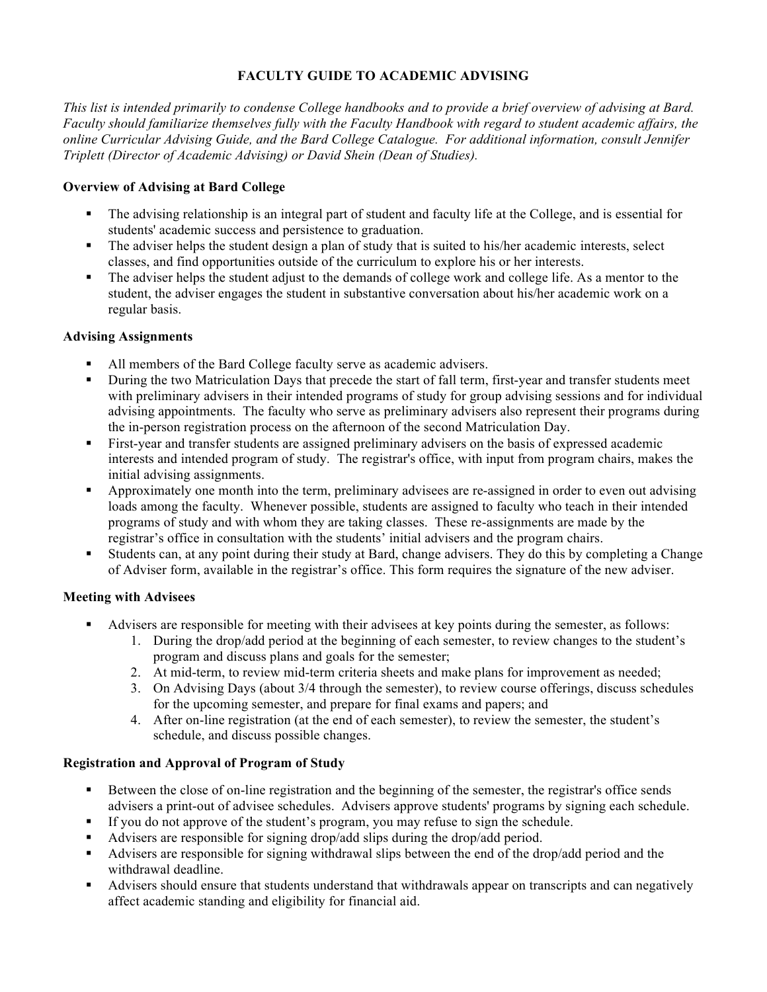# **FACULTY GUIDE TO ACADEMIC ADVISING**

*This list is intended primarily to condense College handbooks and to provide a brief overview of advising at Bard. Faculty should familiarize themselves fully with the Faculty Handbook with regard to student academic affairs, the online Curricular Advising Guide, and the Bard College Catalogue. For additional information, consult Jennifer Triplett (Director of Academic Advising) or David Shein (Dean of Studies).* 

# **Overview of Advising at Bard College**

- ! The advising relationship is an integral part of student and faculty life at the College, and is essential for students' academic success and persistence to graduation.
- ! The adviser helps the student design a plan of study that is suited to his/her academic interests, select classes, and find opportunities outside of the curriculum to explore his or her interests.
- ! The adviser helps the student adjust to the demands of college work and college life. As a mentor to the student, the adviser engages the student in substantive conversation about his/her academic work on a regular basis.

## **Advising Assignments**

- All members of the Bard College faculty serve as academic advisers.
- ! During the two Matriculation Days that precede the start of fall term, first-year and transfer students meet with preliminary advisers in their intended programs of study for group advising sessions and for individual advising appointments. The faculty who serve as preliminary advisers also represent their programs during the in-person registration process on the afternoon of the second Matriculation Day.
- ! First-year and transfer students are assigned preliminary advisers on the basis of expressed academic interests and intended program of study. The registrar's office, with input from program chairs, makes the initial advising assignments.
- ! Approximately one month into the term, preliminary advisees are re-assigned in order to even out advising loads among the faculty. Whenever possible, students are assigned to faculty who teach in their intended programs of study and with whom they are taking classes. These re-assignments are made by the registrar's office in consultation with the students' initial advisers and the program chairs.
- ! Students can, at any point during their study at Bard, change advisers. They do this by completing a Change of Adviser form, available in the registrar's office. This form requires the signature of the new adviser.

## **Meeting with Advisees**

- ! Advisers are responsible for meeting with their advisees at key points during the semester, as follows:
	- 1. During the drop/add period at the beginning of each semester, to review changes to the student's program and discuss plans and goals for the semester;
	- 2. At mid-term, to review mid-term criteria sheets and make plans for improvement as needed;
	- 3. On Advising Days (about 3/4 through the semester), to review course offerings, discuss schedules for the upcoming semester, and prepare for final exams and papers; and
	- 4. After on-line registration (at the end of each semester), to review the semester, the student's schedule, and discuss possible changes.

## **Registration and Approval of Program of Study**

- ! Between the close of on-line registration and the beginning of the semester, the registrar's office sends advisers a print-out of advisee schedules. Advisers approve students' programs by signing each schedule.
- ! If you do not approve of the student's program, you may refuse to sign the schedule.
- ! Advisers are responsible for signing drop/add slips during the drop/add period.
- ! Advisers are responsible for signing withdrawal slips between the end of the drop/add period and the withdrawal deadline.
- ! Advisers should ensure that students understand that withdrawals appear on transcripts and can negatively affect academic standing and eligibility for financial aid.